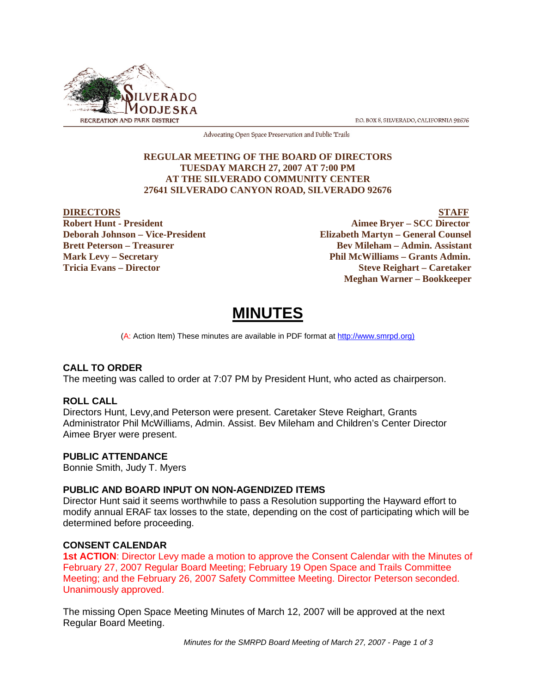

P.O. BOX 8, SILVERADO, CALIFORNIA 92676

Advocating Open Space Preservation and Public Trails

# **REGULAR MEETING OF THE BOARD OF DIRECTORS TUESDAY MARCH 27, 2007 AT 7:00 PM AT THE SILVERADO COMMUNITY CENTER 27641 SILVERADO CANYON ROAD, SILVERADO 92676**

EXTERNAL PROPERTY **DIRECTORS**<br>
Bobert Hunt - President Aimee Brver – SCC Director **Aimee Bryer – SCC Director Deborah Johnson – Vice-President Elizabeth Martyn – General Counsel Brett Peterson – Treasurer States and Bev Mileham – Admin. Assistant Mark Levy – Secretary Phil McWilliams – Grants Admin. Tricia Evans – Director Steve Reighart – Caretaker Meghan Warner – Bookkeeper**

# **MINUTES**

(A: Action Item) These minutes are available in PDF format at http://www.smrpd.org)

# **CALL TO ORDER**

The meeting was called to order at 7:07 PM by President Hunt, who acted as chairperson.

# **ROLL CALL**

Directors Hunt, Levy,and Peterson were present. Caretaker Steve Reighart, Grants Administrator Phil McWilliams, Admin. Assist. Bev Mileham and Children's Center Director Aimee Bryer were present.

# **PUBLIC ATTENDANCE**

Bonnie Smith, Judy T. Myers

# **PUBLIC AND BOARD INPUT ON NON-AGENDIZED ITEMS**

Director Hunt said it seems worthwhile to pass a Resolution supporting the Hayward effort to modify annual ERAF tax losses to the state, depending on the cost of participating which will be determined before proceeding.

# **CONSENT CALENDAR**

**1st ACTION**: Director Levy made a motion to approve the Consent Calendar with the Minutes of February 27, 2007 Regular Board Meeting; February 19 Open Space and Trails Committee Meeting; and the February 26, 2007 Safety Committee Meeting. Director Peterson seconded. Unanimously approved.

The missing Open Space Meeting Minutes of March 12, 2007 will be approved at the next Regular Board Meeting.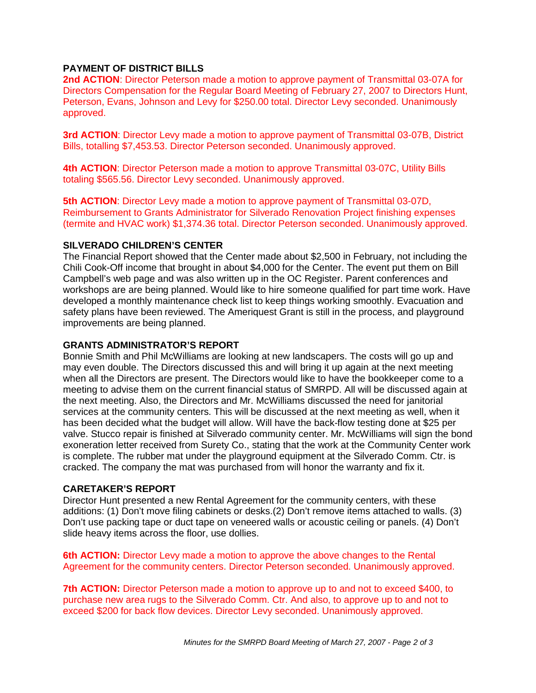# **PAYMENT OF DISTRICT BILLS**

**2nd ACTION**: Director Peterson made a motion to approve payment of Transmittal 03-07A for Directors Compensation for the Regular Board Meeting of February 27, 2007 to Directors Hunt, Peterson, Evans, Johnson and Levy for \$250.00 total. Director Levy seconded. Unanimously approved.

**3rd ACTION**: Director Levy made a motion to approve payment of Transmittal 03-07B, District Bills, totalling \$7,453.53. Director Peterson seconded. Unanimously approved.

**4th ACTION**: Director Peterson made a motion to approve Transmittal 03-07C, Utility Bills totaling \$565.56. Director Levy seconded. Unanimously approved.

**5th ACTION**: Director Levy made a motion to approve payment of Transmittal 03-07D, Reimbursement to Grants Administrator for Silverado Renovation Project finishing expenses (termite and HVAC work) \$1,374.36 total. Director Peterson seconded. Unanimously approved.

# **SILVERADO CHILDREN'S CENTER**

The Financial Report showed that the Center made about \$2,500 in February, not including the Chili Cook-Off income that brought in about \$4,000 for the Center. The event put them on Bill Campbell's web page and was also written up in the OC Register. Parent conferences and workshops are are being planned. Would like to hire someone qualified for part time work. Have developed a monthly maintenance check list to keep things working smoothly. Evacuation and safety plans have been reviewed. The Ameriquest Grant is still in the process, and playground improvements are being planned.

# **GRANTS ADMINISTRATOR'S REPORT**

Bonnie Smith and Phil McWilliams are looking at new landscapers. The costs will go up and may even double. The Directors discussed this and will bring it up again at the next meeting when all the Directors are present. The Directors would like to have the bookkeeper come to a meeting to advise them on the current financial status of SMRPD. All will be discussed again at the next meeting. Also, the Directors and Mr. McWilliams discussed the need for janitorial services at the community centers. This will be discussed at the next meeting as well, when it has been decided what the budget will allow. Will have the back-flow testing done at \$25 per valve. Stucco repair is finished at Silverado community center. Mr. McWilliams will sign the bond exoneration letter received from Surety Co., stating that the work at the Community Center work is complete. The rubber mat under the playground equipment at the Silverado Comm. Ctr. is cracked. The company the mat was purchased from will honor the warranty and fix it.

# **CARETAKER'S REPORT**

Director Hunt presented a new Rental Agreement for the community centers, with these additions: (1) Don't move filing cabinets or desks.(2) Don't remove items attached to walls. (3) Don't use packing tape or duct tape on veneered walls or acoustic ceiling or panels. (4) Don't slide heavy items across the floor, use dollies.

**6th ACTION:** Director Levy made a motion to approve the above changes to the Rental Agreement for the community centers. Director Peterson seconded. Unanimously approved.

**7th ACTION:** Director Peterson made a motion to approve up to and not to exceed \$400, to purchase new area rugs to the Silverado Comm. Ctr. And also, to approve up to and not to exceed \$200 for back flow devices. Director Levy seconded. Unanimously approved.